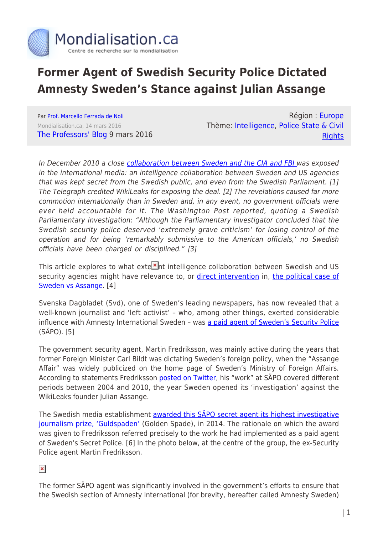

## **Former Agent of Swedish Security Police Dictated Amnesty Sweden's Stance against Julian Assange**

Par [Prof. Marcello Ferrada de Noli](https://www.mondialisation.ca/author/prof-marcello-ferrada-de-noli) Mondialisation.ca, 14 mars 2016 [The Professors' Blog](http://professorsblogg.com/2016/03/09/former-paid-agent-of-swedish-security-police-dictated-amnesty-swedens-stance-against-assange/) 9 mars 2016

Région : [Europe](https://www.mondialisation.ca/region/europe) Thème: [Intelligence,](https://www.mondialisation.ca/theme/intelligence) [Police State & Civil](https://www.mondialisation.ca/theme/police-state-civil-rights) **[Rights](https://www.mondialisation.ca/theme/police-state-civil-rights)** 

In December 2010 a close [collaboration between Sweden and the CIA and FBI](http://professorsblogg.com/2014/11/05/who-are-behind-the-assange-prosecution-and-why/) was exposed in the international media: an intelligence collaboration between Sweden and US agencies that was kept secret from the Swedish public, and even from the Swedish Parliament. [1] The Telegraph credited WikiLeaks for exposing the deal. [2] The revelations caused far more commotion internationally than in Sweden and, in any event, no government officials were ever held accountable for it. The Washington Post reported, quoting a Swedish Parliamentary investigation: "Although the Parliamentary investigator concluded that the Swedish security police deserved 'extremely grave criticism' for losing control of the operation and for being 'remarkably submissive to the American officials,' no Swedish officials have been charged or disciplined." [3]

This article explores to what exte $\frac{1}{2}$ nt intelligence collaboration between Swedish and US security agencies might have relevance to, or [direct intervention](http://professorsblogg.com/2014/11/05/who-are-behind-the-assange-prosecution-and-why/) in, [the political case of](http://media2.libertarianbooks.se/2016/02/SWEDEN-VS.-ASSANGE-%E2%80%93-HUMAN-RIGHTS-ISSUES-%E2%80%93-THE-POLITICAL-BACKGROUND.-By-Prof-Marcello-Ferrada-de-Noli.pdf) [Sweden vs Assange.](http://media2.libertarianbooks.se/2016/02/SWEDEN-VS.-ASSANGE-%E2%80%93-HUMAN-RIGHTS-ISSUES-%E2%80%93-THE-POLITICAL-BACKGROUND.-By-Prof-Marcello-Ferrada-de-Noli.pdf) [4]

Svenska Dagbladet (Svd), one of Sweden's leading newspapers, has now revealed that a well-known journalist and 'left activist' – who, among other things, exerted considerable influence with Amnesty International Sweden - was [a paid agent of Sweden's Security Police](http://www.svd.se/nar-verklighetens-salander-salde-ut-till-sapo) (SÄPO). [5]

The government security agent, Martin Fredriksson, was mainly active during the years that former Foreign Minister Carl Bildt was dictating Sweden's foreign policy, when the "Assange Affair" was widely publicized on the home page of Sweden's Ministry of Foreign Affairs. According to statements Fredriksson [posted on Twitter](https://twitter.com/nittonfemton/status/704012642038505472), his "work" at SÄPO covered different periods between 2004 and 2010, the year Sweden opened its 'investigation' against the WikiLeaks founder Julian Assange.

The Swedish media establishment [awarded this SÄPO secret agent its highest investigative](http://www.arbetaren.se/2016/03/02/prisbelonad-journalist-avlonad-av-sapo-i-aratal/) [journalism prize, 'Guldspaden'](http://www.arbetaren.se/2016/03/02/prisbelonad-journalist-avlonad-av-sapo-i-aratal/) (Golden Spade), in 2014. The rationale on which the award was given to Fredriksson referred precisely to the work he had implemented as a paid agent of Sweden's Secret Police. [6] In the photo below, at the centre of the group, the ex-Security Police agent Martin Fredriksson.

 $\pmb{\times}$ 

The former SÄPO agent was significantly involved in the government's efforts to ensure that the Swedish section of Amnesty International (for brevity, hereafter called Amnesty Sweden)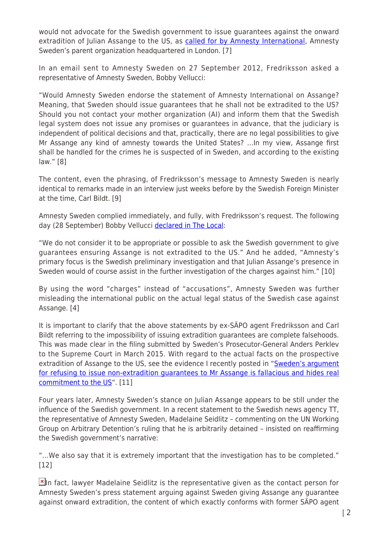would not advocate for the Swedish government to issue guarantees against the onward extradition of Julian Assange to the US, as [called for by Amnesty International,](https://www.amnesty.org/en/latest/news/2012/09/sweden-should-issue-assurance-it-won-t-extradite-assange-usa/) Amnesty Sweden's parent organization headquartered in London. [7]

In an email sent to Amnesty Sweden on 27 September 2012, Fredriksson asked a representative of Amnesty Sweden, Bobby Vellucci:

"Would Amnesty Sweden endorse the statement of Amnesty International on Assange? Meaning, that Sweden should issue guarantees that he shall not be extradited to the US? Should you not contact your mother organization (AI) and inform them that the Swedish legal system does not issue any promises or guarantees in advance, that the judiciary is independent of political decisions and that, practically, there are no legal possibilities to give Mr Assange any kind of amnesty towards the United States? …In my view, Assange first shall be handled for the crimes he is suspected of in Sweden, and according to the existing law." [8]

The content, even the phrasing, of Fredriksson's message to Amnesty Sweden is nearly identical to remarks made in an interview just weeks before by the Swedish Foreign Minister at the time, Carl Bildt. [9]

Amnesty Sweden complied immediately, and fully, with Fredriksson's request. The following day (28 September) Bobby Vellucci [declared in The Local:](http://www.thelocal.se/20120928/43510)

"We do not consider it to be appropriate or possible to ask the Swedish government to give guarantees ensuring Assange is not extradited to the US." And he added, "Amnesty's primary focus is the Swedish preliminary investigation and that Julian Assange's presence in Sweden would of course assist in the further investigation of the charges against him." [10]

By using the word "charges" instead of "accusations", Amnesty Sweden was further misleading the international public on the actual legal status of the Swedish case against Assange. [4]

It is important to clarify that the above statements by ex-SÄPO agent Fredriksson and Carl Bildt referring to the impossibility of issuing extradition guarantees are complete falsehoods. This was made clear in the filing submitted by Sweden's Prosecutor-General Anders Perklev to the Supreme Court in March 2015. With regard to the actual facts on the prospective extradition of Assange to the US, see the evidence I recently posted in "[Sweden's argument](http://theindicter.com/swedens-argument-for-refusing-to-issue-non-extradition-guarantees-to-mr-assange-is-fallacious-and-hides-real-commitment-to-the-u-s-analysis/) [for refusing to issue non-extradition guarantees to Mr Assange is fallacious and hides real](http://theindicter.com/swedens-argument-for-refusing-to-issue-non-extradition-guarantees-to-mr-assange-is-fallacious-and-hides-real-commitment-to-the-u-s-analysis/) [commitment to the US](http://theindicter.com/swedens-argument-for-refusing-to-issue-non-extradition-guarantees-to-mr-assange-is-fallacious-and-hides-real-commitment-to-the-u-s-analysis/)". [11]

Four years later, Amnesty Sweden's stance on Julian Assange appears to be still under the influence of the Swedish government. In a recent statement to the Swedish news agency  $\Pi$ , the representative of Amnesty Sweden, Madelaine Seidlitz – commenting on the UN Working Group on Arbitrary Detention's ruling that he is arbitrarily detained – insisted on reaffirming the Swedish government's narrative:

"…We also say that it is extremely important that the investigation has to be completed." [12]

 $\mathbf{X}$ [I](http://media1.theindicter.com/2016/03/Amnesty-Sweden-on-Assange.jpg)n fact, lawyer Madelaine Seidlitz is the representative given as the contact person for Amnesty Sweden's press statement arguing against Sweden giving Assange any guarantee against onward extradition, the content of which exactly conforms with former SÄPO agent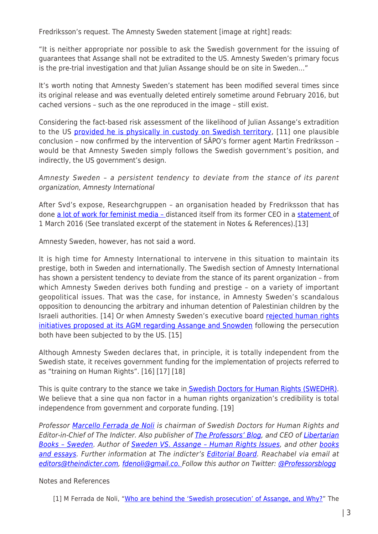Fredriksson's request. The Amnesty Sweden statement [image at right] reads:

"It is neither appropriate nor possible to ask the Swedish government for the issuing of guarantees that Assange shall not be extradited to the US. Amnesty Sweden's primary focus is the pre-trial investigation and that Julian Assange should be on site in Sweden…"

It's worth noting that Amnesty Sweden's statement has been modified several times since its original release and was eventually deleted entirely sometime around February 2016, but cached versions – such as the one reproduced in the image – still exist.

Considering the fact-based risk assessment of the likelihood of Julian Assange's extradition to the US [provided he is physically in custody on Swedish territory,](http://theindicter.com/swedens-argument-for-refusing-to-issue-non-extradition-guarantees-to-mr-assange-is-fallacious-and-hides-real-commitment-to-the-u-s-analysis/) [11] one plausible conclusion – now confirmed by the intervention of SÄPO's former agent Martin Fredriksson – would be that Amnesty Sweden simply follows the Swedish government's position, and indirectly, the US government's design.

Amnesty Sweden – a persistent tendency to deviate from the stance of its parent organization, Amnesty International

After Svd's expose, Researchgruppen – an organisation headed by Fredriksson that has done [a lot of work for feminist media –](https://twitter.com/Researchgruppen/status/251638674134036480) distanced itself from its former CEO in a [statement](http://research.nu/klargorande-om-martin-fredriksson/) of 1 March 2016 (See translated excerpt of the statement in Notes & References).[13]

Amnesty Sweden, however, has not said a word.

It is high time for Amnesty International to intervene in this situation to maintain its prestige, both in Sweden and internationally. The Swedish section of Amnesty International has shown a persistent tendency to deviate from the stance of its parent organization – from which Amnesty Sweden derives both funding and prestige – on a variety of important geopolitical issues. That was the case, for instance, in Amnesty Sweden's scandalous opposition to denouncing the arbitrary and inhuman detention of Palestinian children by the Israeli authorities. [14] Or when Amnesty Sweden's executive board [rejected human rights](http://professorsblogg.com/2014/05/11/swedish-amnesty-international-voted-for-reject-support-to-human-right-issues-on-assange-snowden-and-guantanamo-prisoners/) [initiatives proposed at its AGM regarding Assange and Snowden](http://professorsblogg.com/2014/05/11/swedish-amnesty-international-voted-for-reject-support-to-human-right-issues-on-assange-snowden-and-guantanamo-prisoners/) following the persecution both have been subjected to by the US. [15]

Although Amnesty Sweden declares that, in principle, it is totally independent from the Swedish state, it receives government funding for the implementation of projects referred to as "training on Human Rights". [16] [17] [18]

This is quite contrary to the stance we take in [Swedish Doctors for Human Rights \(SWEDHR\).](https://en.wikipedia.org/wiki/Swedish_Doctors_for_Human_Rights) We believe that a sine qua non factor in a human rights organization's credibility is total independence from government and corporate funding. [19]

Professor [Marcello Ferrada de Noli](https://en.wikipedia.org/wiki/Marcello_Ferrada_de_Noli) is chairman of Swedish Doctors for Human Rights and Editor-in-Chief of The Indicter. Also publisher of [The Professors' Blog](http://professorsblogg.com), and CEO of [Libertarian](http://libertarianbooks.se) Books - Sweden. Author of Sweden VS. Assange - Human Rights Issues, and other [books](http://libertarianbooks.se/) [and essays](http://libertarianbooks.se/). Further information at The indicter's [Editorial Board.](http://theindicter.com/editorial-board/) Reachabel via email at [editors@theindicter.com](mailto:editors@theindicter.com), [fdenoli@gmail.co. F](mailto:fdenoli@gmail.com)ollow this author on Twitter: [@Professorsblogg](https://twitter.com/professorsblogg)

Notes and References

[1] M Ferrada de Noli, "[Who are behind the 'Swedish prosecution' of Assange, and Why?](http://professorsblogg.com/2014/11/05/who-are-behind-the-assange-prosecution-and-why/)" The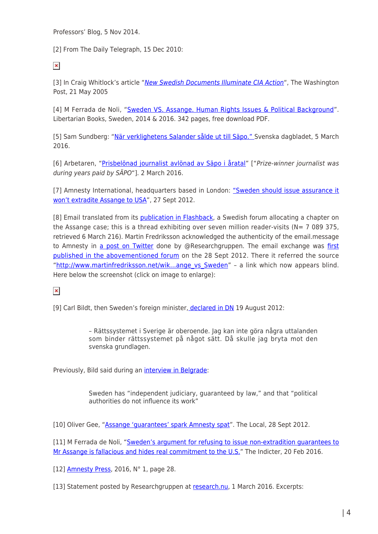Professors' Blog, 5 Nov 2014.

[2] From The Daily Telegraph, 15 Dec 2010:

 $\pmb{\times}$ 

[3] In Craig Whitlock's article "[New Swedish Documents Illuminate CIA Action](http://www.washingtonpost.com/wp-dyn/content/article/2005/05/20/AR2005052001605.html)", The Washington Post, 21 May 2005

[4] M Ferrada de Noli, "[Sweden VS. Assange. Human Rights Issues & Political Background](http://media2.libertarianbooks.se/2016/02/SWEDEN-VS.-ASSANGE-%E2%80%93-HUMAN-RIGHTS-ISSUES-%E2%80%93-THE-POLITICAL-BACKGROUND.-By-Prof-Marcello-Ferrada-de-Noli.pdf)". Libertarian Books, Sweden, 2014 & 2016. 342 pages, free download PDF.

[5] Sam Sundberg: ["När verklighetens Salander sålde ut till Säpo." S](http://www.svd.se/nar-verklighetens-salander-salde-ut-till-sapo)venska dagbladet, 5 March 2016.

[6] Arbetaren, "[Prisbelönad journalist avlönad av Säpo i åratal](http://www.arbetaren.se/2016/03/02/prisbelonad-journalist-avlonad-av-sapo-i-aratal/)" ["Prize-winner journalist was during years paid by SÄPO"]. 2 March 2016.

[7] Amnesty International, headquarters based in London: ["Sweden should issue assurance it](https://www.amnesty.org/en/latest/news/2012/09/sweden-should-issue-assurance-it-won-t-extradite-assange-usa/) [won't extradite Assange to USA](https://www.amnesty.org/en/latest/news/2012/09/sweden-should-issue-assurance-it-won-t-extradite-assange-usa/)", 27 Sept 2012.

[8] Email translated from its [publication in Flashback,](https://www.flashback.org/sp56553706) a Swedish forum allocating a chapter on the Assange case; this is a thread exhibiting over seven million reader-visits ( $N = 7089375$ , retrieved 6 March 216). Martin Fredriksson acknowledged the authenticity of the email.message to Amnesty in [a post on Twitter](https://twitter.com/Researchgruppen/status/251638674134036480) done by @Researchgruppen. The email exchange was [first](https://www.flashback.org/sp39565370) [published in the abovementioned forum](https://www.flashback.org/sp39565370) on the 28 Sept 2012. There it referred the source "http://www.martinfredriksson.net/wik...ange vs Sweden" - a link which now appears blind. Here below the screenshot (click on image to enlarge):

 $\pmb{\times}$ 

[9] Carl Bildt, then Sweden's foreign minister, [declared in DN](http://www.dn.se/nyheter/varlden/alba-varnar-storbritannien/) 19 August 2012:

– Rättssystemet i Sverige är oberoende. Jag kan inte göra några uttalanden som binder rättssystemet på något sätt. Då skulle jag bryta mot den svenska grundlagen.

Previously, Bild said during an [interview in Belgrade](http://www.b92.net/eng/news/politics.php?yyyy=2010&mm=12&dd=08&nav_id=71392):

Sweden has "independent judiciary, guaranteed by law," and that "political authorities do not influence its work"

[10] Oliver Gee, "Assange 'quarantees' spark Amnesty spat". The Local, 28 Sept 2012.

[11] M Ferrada de Noli, "[Sweden's argument for refusing to issue non-extradition guarantees to](http://theindicter.com/swedens-argument-for-refusing-to-issue-non-extradition-guarantees-to-mr-assange-is-fallacious-and-hides-real-commitment-to-the-u-s-analysis/) [Mr Assange is fallacious and hides real commitment to the U.S.](http://theindicter.com/swedens-argument-for-refusing-to-issue-non-extradition-guarantees-to-mr-assange-is-fallacious-and-hides-real-commitment-to-the-u-s-analysis/)" The Indicter, 20 Feb 2016.

[12] [Amnesty Press](http://www.amnestypress.se/media/issues/pdf/2016/AmnestyPress%20Nr%201%202016.pdf), 2016, N° 1, page 28.

[13] Statement posted by Researchgruppen at [research.nu](http://research.nu/klargorande-om-martin-fredriksson/), 1 March 2016. Excerpts: